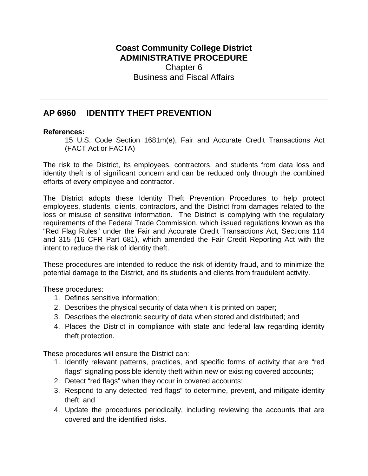## **Coast Community College District ADMINISTRATIVE PROCEDURE** Chapter 6 Business and Fiscal Affairs

# **AP 6960 IDENTITY THEFT PREVENTION**

#### **References:**

15 U.S. Code Section 1681m(e), Fair and Accurate Credit Transactions Act (FACT Act or FACTA)

The risk to the District, its employees, contractors, and students from data loss and identity theft is of significant concern and can be reduced only through the combined efforts of every employee and contractor.

The District adopts these Identity Theft Prevention Procedures to help protect employees, students, clients, contractors, and the District from damages related to the loss or misuse of sensitive information. The District is complying with the regulatory requirements of the Federal Trade Commission, which issued regulations known as the "Red Flag Rules" under the Fair and Accurate Credit Transactions Act, Sections 114 and 315 (16 CFR Part 681), which amended the Fair Credit Reporting Act with the intent to reduce the risk of identity theft.

These procedures are intended to reduce the risk of identity fraud, and to minimize the potential damage to the District, and its students and clients from fraudulent activity.

These procedures:

- 1. Defines sensitive information;
- 2. Describes the physical security of data when it is printed on paper;
- 3. Describes the electronic security of data when stored and distributed; and
- 4. Places the District in compliance with state and federal law regarding identity theft protection.

These procedures will ensure the District can:

- 1. Identify relevant patterns, practices, and specific forms of activity that are "red flags" signaling possible identity theft within new or existing covered accounts;
- 2. Detect "red flags" when they occur in covered accounts;
- 3. Respond to any detected "red flags" to determine, prevent, and mitigate identity theft; and
- 4. Update the procedures periodically, including reviewing the accounts that are covered and the identified risks.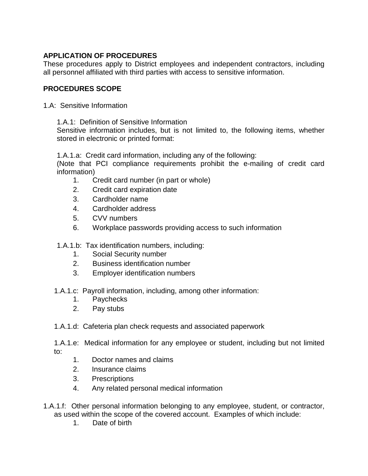## **APPLICATION OF PROCEDURES**

These procedures apply to District employees and independent contractors, including all personnel affiliated with third parties with access to sensitive information.

### **PROCEDURES SCOPE**

- 1.A: Sensitive Information
	- 1.A.1: Definition of Sensitive Information

Sensitive information includes, but is not limited to, the following items, whether stored in electronic or printed format:

1.A.1.a: Credit card information, including any of the following:

(Note that PCI compliance requirements prohibit the e-mailing of credit card information)

- 1. Credit card number (in part or whole)
- 2. Credit card expiration date
- 3. Cardholder name
- 4. Cardholder address
- 5. CVV numbers
- 6. Workplace passwords providing access to such information

1.A.1.b: Tax identification numbers, including:

- 1. Social Security number
- 2. Business identification number
- 3. Employer identification numbers
- 1.A.1.c: Payroll information, including, among other information:
	- 1. Paychecks
	- 2. Pay stubs

1.A.1.d: Cafeteria plan check requests and associated paperwork

1.A.1.e: Medical information for any employee or student, including but not limited to:

- 1. Doctor names and claims
- 2. Insurance claims
- 3. Prescriptions
- 4. Any related personal medical information
- 1.A.1.f: Other personal information belonging to any employee, student, or contractor, as used within the scope of the covered account. Examples of which include:
	- 1. Date of birth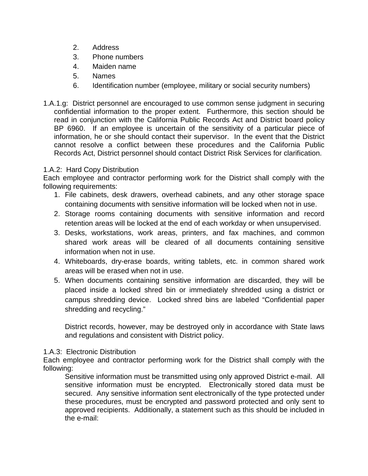- 2. Address
- 3. Phone numbers
- 4. Maiden name
- 5. Names
- 6. Identification number (employee, military or social security numbers)
- 1.A.1.g: District personnel are encouraged to use common sense judgment in securing confidential information to the proper extent. Furthermore, this section should be read in conjunction with the California Public Records Act and District board policy BP 6960. If an employee is uncertain of the sensitivity of a particular piece of information, he or she should contact their supervisor. In the event that the District cannot resolve a conflict between these procedures and the California Public Records Act, District personnel should contact District Risk Services for clarification.

### 1.A.2: Hard Copy Distribution

Each employee and contractor performing work for the District shall comply with the following requirements:

- 1. File cabinets, desk drawers, overhead cabinets, and any other storage space containing documents with sensitive information will be locked when not in use.
- 2. Storage rooms containing documents with sensitive information and record retention areas will be locked at the end of each workday or when unsupervised.
- 3. Desks, workstations, work areas, printers, and fax machines, and common shared work areas will be cleared of all documents containing sensitive information when not in use.
- 4. Whiteboards, dry-erase boards, writing tablets, etc. in common shared work areas will be erased when not in use.
- 5. When documents containing sensitive information are discarded, they will be placed inside a locked shred bin or immediately shredded using a district or campus shredding device. Locked shred bins are labeled "Confidential paper shredding and recycling."

District records, however, may be destroyed only in accordance with State laws and regulations and consistent with District policy.

#### 1.A.3: Electronic Distribution

Each employee and contractor performing work for the District shall comply with the following:

Sensitive information must be transmitted using only approved District e-mail. All sensitive information must be encrypted. Electronically stored data must be secured. Any sensitive information sent electronically of the type protected under these procedures, must be encrypted and password protected and only sent to approved recipients. Additionally, a statement such as this should be included in the e-mail: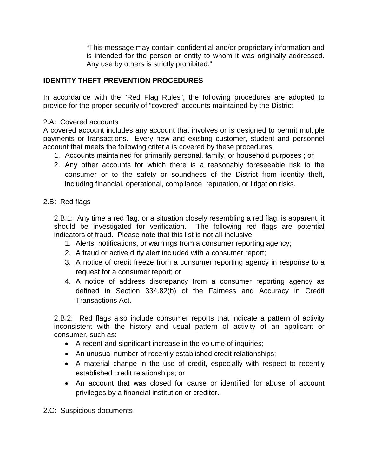"This message may contain confidential and/or proprietary information and is intended for the person or entity to whom it was originally addressed. Any use by others is strictly prohibited."

### **IDENTITY THEFT PREVENTION PROCEDURES**

In accordance with the "Red Flag Rules", the following procedures are adopted to provide for the proper security of "covered" accounts maintained by the District

#### 2.A: Covered accounts

A covered account includes any account that involves or is designed to permit multiple payments or transactions. Every new and existing customer, student and personnel account that meets the following criteria is covered by these procedures:

- 1. Accounts maintained for primarily personal, family, or household purposes ; or
- 2. Any other accounts for which there is a reasonably foreseeable risk to the consumer or to the safety or soundness of the District from identity theft, including financial, operational, compliance, reputation, or litigation risks.

#### 2.B: Red flags

2.B.1: Any time a red flag, or a situation closely resembling a red flag, is apparent, it should be investigated for verification. The following red flags are potential indicators of fraud. Please note that this list is not all-inclusive.

- 1. Alerts, notifications, or warnings from a consumer reporting agency;
- 2. A fraud or active duty alert included with a consumer report;
- 3. A notice of credit freeze from a consumer reporting agency in response to a request for a consumer report; or
- 4. A notice of address discrepancy from a consumer reporting agency as defined in Section 334.82(b) of the Fairness and Accuracy in Credit Transactions Act.

2.B.2: Red flags also include consumer reports that indicate a pattern of activity inconsistent with the history and usual pattern of activity of an applicant or consumer, such as:

- A recent and significant increase in the volume of inquiries;
- An unusual number of recently established credit relationships;
- A material change in the use of credit, especially with respect to recently established credit relationships; or
- An account that was closed for cause or identified for abuse of account privileges by a financial institution or creditor.

2.C: Suspicious documents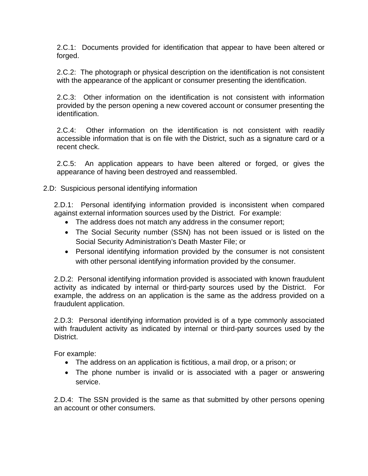2.C.1: Documents provided for identification that appear to have been altered or forged.

2.C.2: The photograph or physical description on the identification is not consistent with the appearance of the applicant or consumer presenting the identification.

2.C.3: Other information on the identification is not consistent with information provided by the person opening a new covered account or consumer presenting the identification.

2.C.4: Other information on the identification is not consistent with readily accessible information that is on file with the District, such as a signature card or a recent check.

2.C.5: An application appears to have been altered or forged, or gives the appearance of having been destroyed and reassembled.

#### 2.D: Suspicious personal identifying information

2.D.1: Personal identifying information provided is inconsistent when compared against external information sources used by the District. For example:

- The address does not match any address in the consumer report;
- The Social Security number (SSN) has not been issued or is listed on the Social Security Administration's Death Master File; or
- Personal identifying information provided by the consumer is not consistent with other personal identifying information provided by the consumer.

2.D.2: Personal identifying information provided is associated with known fraudulent activity as indicated by internal or third-party sources used by the District. For example, the address on an application is the same as the address provided on a fraudulent application.

2.D.3: Personal identifying information provided is of a type commonly associated with fraudulent activity as indicated by internal or third-party sources used by the District.

For example:

- The address on an application is fictitious, a mail drop, or a prison; or
- The phone number is invalid or is associated with a pager or answering service.

2.D.4: The SSN provided is the same as that submitted by other persons opening an account or other consumers.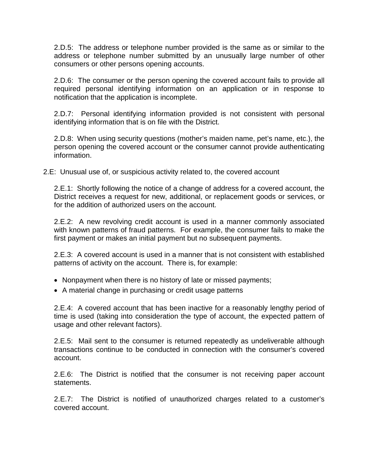2.D.5: The address or telephone number provided is the same as or similar to the address or telephone number submitted by an unusually large number of other consumers or other persons opening accounts.

2.D.6: The consumer or the person opening the covered account fails to provide all required personal identifying information on an application or in response to notification that the application is incomplete.

2.D.7: Personal identifying information provided is not consistent with personal identifying information that is on file with the District.

2.D.8: When using security questions (mother's maiden name, pet's name, etc.), the person opening the covered account or the consumer cannot provide authenticating information.

2.E: Unusual use of, or suspicious activity related to, the covered account

2.E.1: Shortly following the notice of a change of address for a covered account, the District receives a request for new, additional, or replacement goods or services, or for the addition of authorized users on the account.

2.E.2: A new revolving credit account is used in a manner commonly associated with known patterns of fraud patterns. For example, the consumer fails to make the first payment or makes an initial payment but no subsequent payments.

2.E.3: A covered account is used in a manner that is not consistent with established patterns of activity on the account. There is, for example:

- Nonpayment when there is no history of late or missed payments;
- A material change in purchasing or credit usage patterns

2.E.4: A covered account that has been inactive for a reasonably lengthy period of time is used (taking into consideration the type of account, the expected pattern of usage and other relevant factors).

2.E.5: Mail sent to the consumer is returned repeatedly as undeliverable although transactions continue to be conducted in connection with the consumer's covered account.

2.E.6: The District is notified that the consumer is not receiving paper account statements.

2.E.7: The District is notified of unauthorized charges related to a customer's covered account.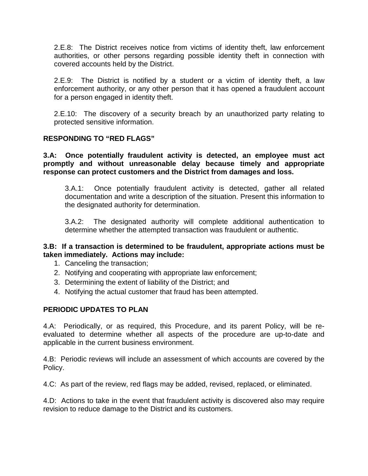2.E.8: The District receives notice from victims of identity theft, law enforcement authorities, or other persons regarding possible identity theft in connection with covered accounts held by the District.

2.E.9: The District is notified by a student or a victim of identity theft, a law enforcement authority, or any other person that it has opened a fraudulent account for a person engaged in identity theft.

2.E.10: The discovery of a security breach by an unauthorized party relating to protected sensitive information.

#### **RESPONDING TO "RED FLAGS"**

**3.A: Once potentially fraudulent activity is detected, an employee must act promptly and without unreasonable delay because timely and appropriate response can protect customers and the District from damages and loss.**

3.A.1: Once potentially fraudulent activity is detected, gather all related documentation and write a description of the situation. Present this information to the designated authority for determination.

3.A.2: The designated authority will complete additional authentication to determine whether the attempted transaction was fraudulent or authentic.

#### **3.B: If a transaction is determined to be fraudulent, appropriate actions must be taken immediately. Actions may include:**

- 1. Canceling the transaction;
- 2. Notifying and cooperating with appropriate law enforcement;
- 3. Determining the extent of liability of the District; and
- 4. Notifying the actual customer that fraud has been attempted.

#### **PERIODIC UPDATES TO PLAN**

4.A: Periodically, or as required, this Procedure, and its parent Policy, will be reevaluated to determine whether all aspects of the procedure are up-to-date and applicable in the current business environment.

4.B: Periodic reviews will include an assessment of which accounts are covered by the Policy.

4.C: As part of the review, red flags may be added, revised, replaced, or eliminated.

4.D: Actions to take in the event that fraudulent activity is discovered also may require revision to reduce damage to the District and its customers.